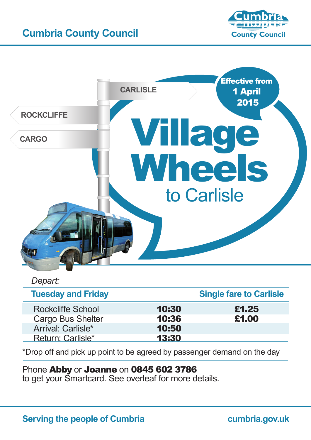# **Cumbria County Council**





### *Depart:*

| <b>Tuesday and Friday</b> |       | <b>Single fare to Carlisle</b> |
|---------------------------|-------|--------------------------------|
| <b>Rockcliffe School</b>  | 10:30 | £1.25                          |
| Cargo Bus Shelter         | 10:36 | £1.00                          |
| Arrival: Carlisle*        | 10:50 |                                |
| Return: Carlisle*         | 13:30 |                                |

\*Drop off and pick up point to be agreed by passenger demand on the day

### Phone Abby or Joanne on 0845 602 3786

to get your Smartcard. See overleaf for more details.